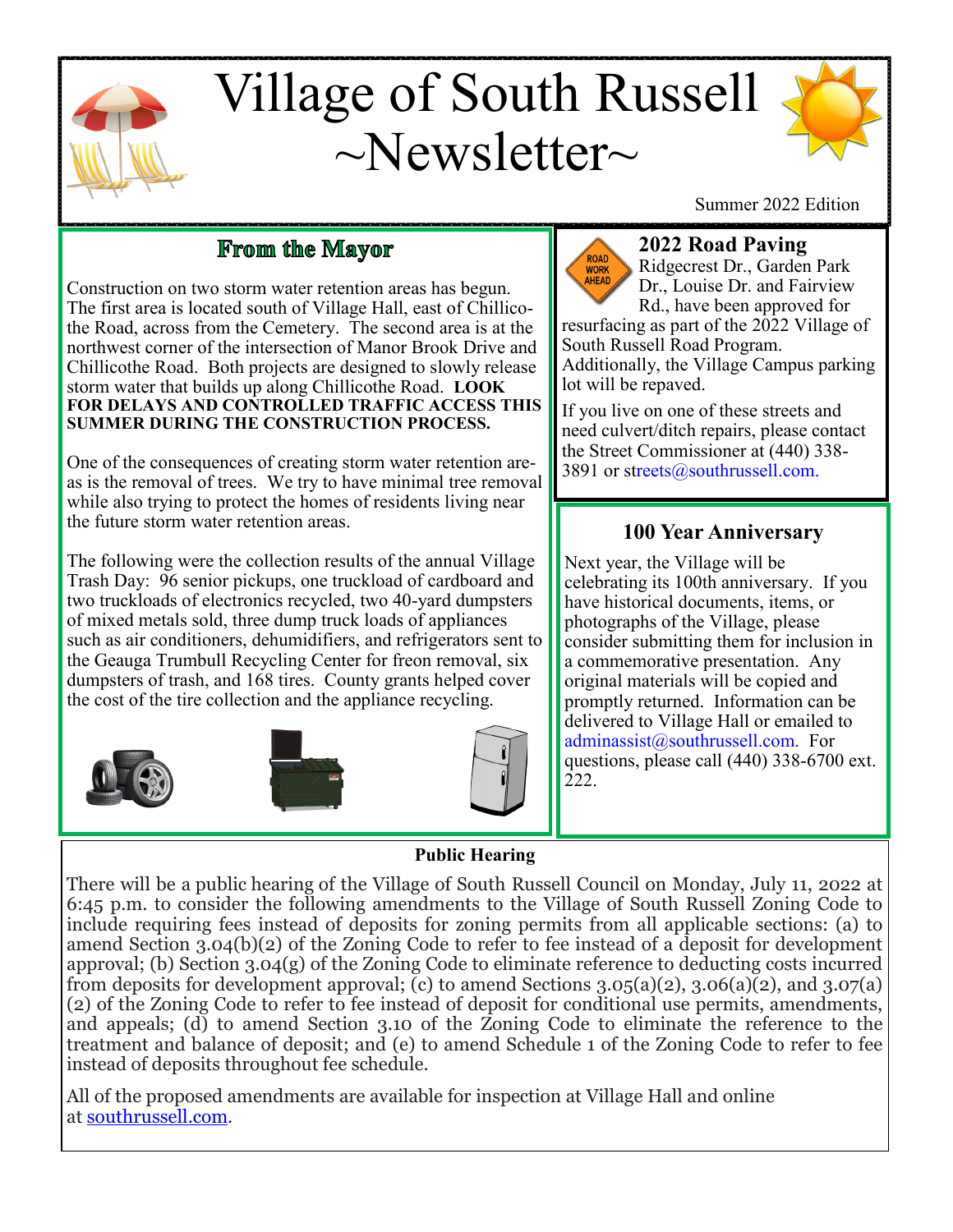

# Village of South Russell  $\sim$ Newsletter $\sim$



Summer 2022 Edition

# From the Mayor

Construction on two storm water retention areas has begun. The first area is located south of Village Hall, east of Chillicothe Road, across from the Cemetery. The second area is at the northwest corner of the intersection of Manor Brook Drive and Chillicothe Road. Both projects are designed to slowly release storm water that builds up along Chillicothe Road. **LOOK FOR DELAYS AND CONTROLLED TRAFFIC ACCESS THIS SUMMER DURING THE CONSTRUCTION PROCESS.**

One of the consequences of creating storm water retention areas is the removal of trees. We try to have minimal tree removal while also trying to protect the homes of residents living near the future storm water retention areas.

The following were the collection results of the annual Village Trash Day: 96 senior pickups, one truckload of cardboard and two truckloads of electronics recycled, two 40-yard dumpsters of mixed metals sold, three dump truck loads of appliances such as air conditioners, dehumidifiers, and refrigerators sent to the Geauga Trumbull Recycling Center for freon removal, six dumpsters of trash, and 168 tires. County grants helped cover the cost of the tire collection and the appliance recycling.









## **2022 Road Paving**

Ridgecrest Dr., Garden Park Dr., Louise Dr. and Fairview Rd., have been approved for resurfacing as part of the 2022 Village of

South Russell Road Program. Additionally, the Village Campus parking lot will be repaved.

If you live on one of these streets and need culvert/ditch repairs, please contact the Street Commissioner at (440) 338- 3891 or streets@southrussell.com.

## **100 Year Anniversary**

Next year, the Village will be celebrating its 100th anniversary. If you have historical documents, items, or photographs of the Village, please consider submitting them for inclusion in a commemorative presentation. Any original materials will be copied and promptly returned. Information can be delivered to Village Hall or emailed to adminassist@southrussell.com. For questions, please call (440) 338-6700 ext. 222.

**Public Hearing**

There will be a public hearing of the Village of South Russell Council on Monday, July 11, 2022 at 6:45 p.m. to consider the following amendments to the Village of South Russell Zoning Code to include requiring fees instead of deposits for zoning permits from all applicable sections: (a) to amend Section 3.04(b)(2) of the Zoning Code to refer to fee instead of a deposit for development approval; (b) Section 3.04(g) of the Zoning Code to eliminate reference to deducting costs incurred from deposits for development approval; (c) to amend Sections  $3.05(a)(2)$ ,  $3.06(a)(2)$ , and  $3.07(a)$ (2) of the Zoning Code to refer to fee instead of deposit for conditional use permits, amendments, and appeals; (d) to amend Section 3.10 of the Zoning Code to eliminate the reference to the treatment and balance of deposit; and (e) to amend Schedule 1 of the Zoning Code to refer to fee instead of deposits throughout fee schedule.

All of the proposed amendments are available for inspection at Village Hall and online at [southrussell.com.](http://southrussell.com/)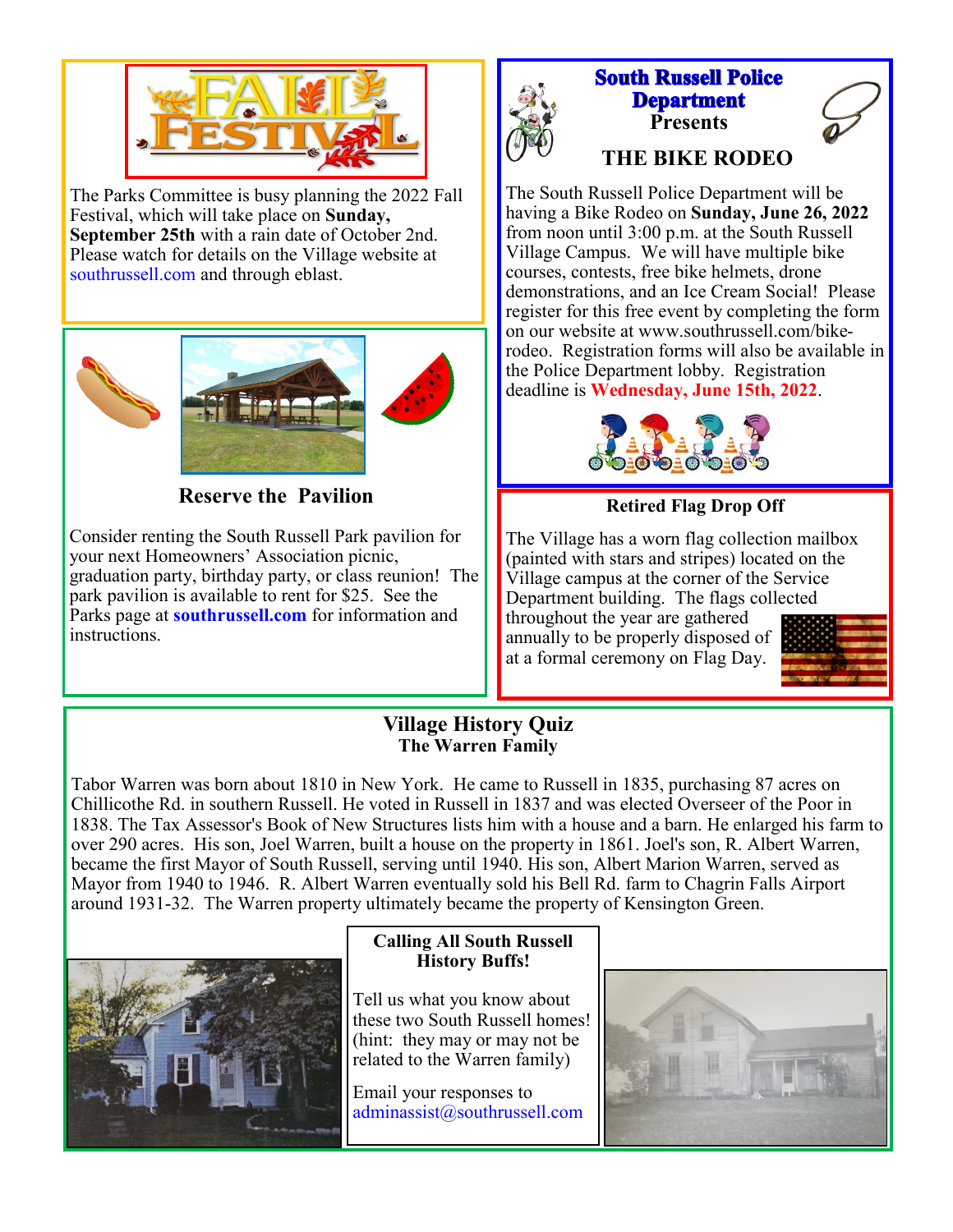

The Parks Committee is busy planning the 2022 Fall Festival, which will take place on **Sunday, September 25th** with a rain date of October 2nd. Please watch for details on the Village website at southrussell.com and through eblast.



**Reserve the Pavilion** 

Consider renting the South Russell Park pavilion for your next Homeowners' Association picnic, graduation party, birthday party, or class reunion! The park pavilion is available to rent for \$25. See the Parks page at **[southrussell.com](http://www.southrussell.com)** for information and instructions.



## **South Russell Police Department Presents THE BIKE RODEO**

The South Russell Police Department will be having a Bike Rodeo on **Sunday, June 26, 2022**  from noon until 3:00 p.m. at the South Russell Village Campus. We will have multiple bike courses, contests, free bike helmets, drone demonstrations, and an Ice Cream Social! Please register for this free event by completing the form on our website at www.southrussell.com/bikerodeo. Registration forms will also be available in the Police Department lobby. Registration



deadline is **Wednesday, June 15th, 2022**.

## **Retired Flag Drop Off**

The Village has a worn flag collection mailbox (painted with stars and stripes) located on the Village campus at the corner of the Service Department building. The flags collected throughout the year are gathered annually to be properly disposed of at a formal ceremony on Flag Day.



#### **Village History Quiz The Warren Family**

Tabor Warren was born about 1810 in New York. He came to Russell in 1835, purchasing 87 acres on Chillicothe Rd. in southern Russell. He voted in Russell in 1837 and was elected Overseer of the Poor in 1838. The Tax Assessor's Book of New Structures lists him with a house and a barn. He enlarged his farm to over 290 acres. His son, Joel Warren, built a house on the property in 1861. Joel's son, R. Albert Warren, became the first Mayor of South Russell, serving until 1940. His son, Albert Marion Warren, served as Mayor from 1940 to 1946. R. Albert Warren eventually sold his Bell Rd. farm to Chagrin Falls Airport around 1931-32. The Warren property ultimately became the property of Kensington Green.



## **Calling All South Russell History Buffs!**

Tell us what you know about these two South Russell homes! (hint: they may or may not be related to the Warren family)

Email your responses to adminassist@southrussell.com

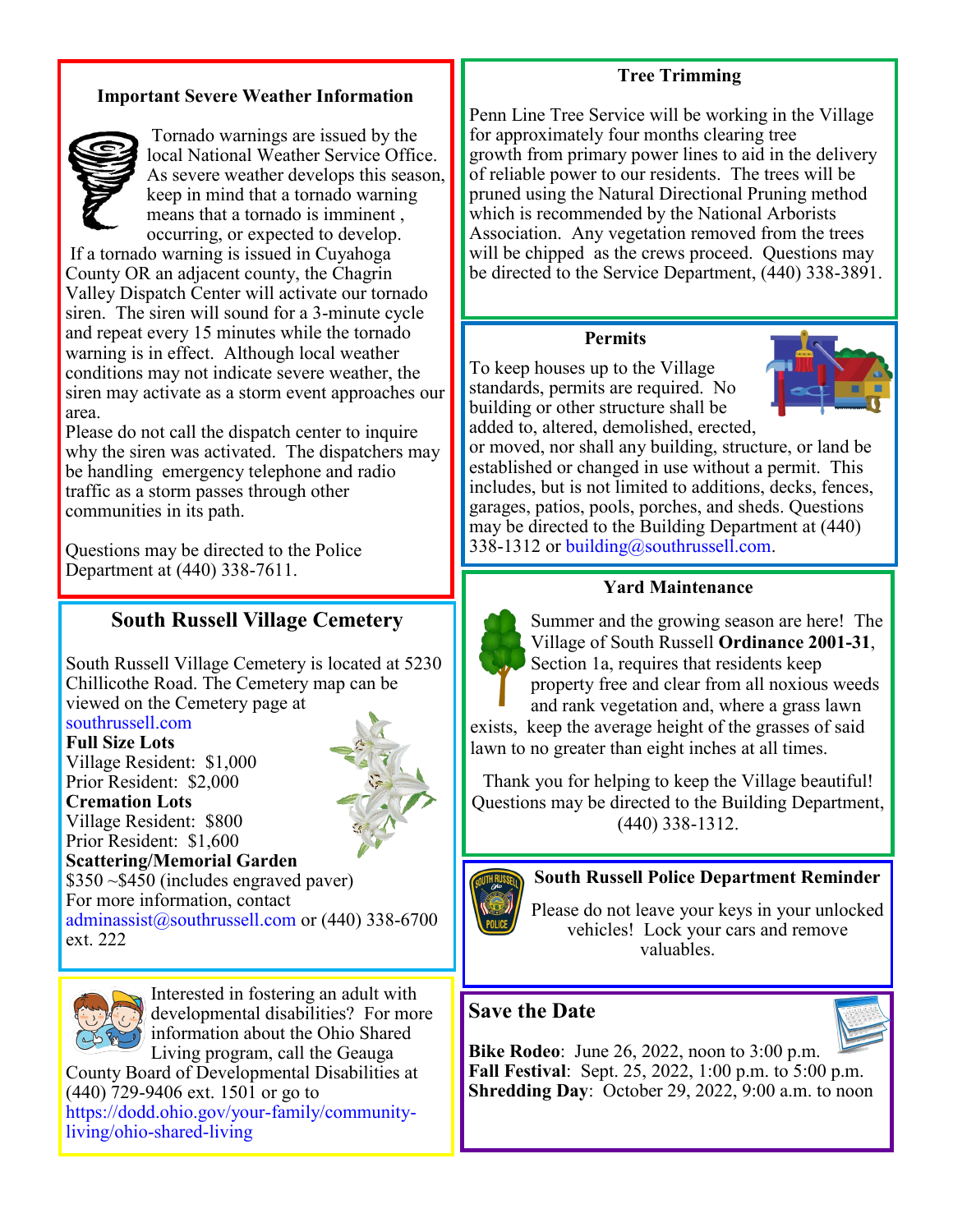#### **Tree Trimming**

### **Important Severe Weather Information**



Tornado warnings are issued by the local National Weather Service Office. As severe weather develops this season, keep in mind that a tornado warning means that a tornado is imminent , occurring, or expected to develop.

If a tornado warning is issued in Cuyahoga County OR an adjacent county, the Chagrin Valley Dispatch Center will activate our tornado siren. The siren will sound for a 3-minute cycle and repeat every 15 minutes while the tornado warning is in effect. Although local weather conditions may not indicate severe weather, the siren may activate as a storm event approaches our area.

Please do not call the dispatch center to inquire why the siren was activated. The dispatchers may be handling emergency telephone and radio traffic as a storm passes through other communities in its path.

Questions may be directed to the Police Department at (440) 338-7611.

## **South Russell Village Cemetery**

South Russell Village Cemetery is located at 5230 Chillicothe Road. The Cemetery map can be viewed on the Cemetery page at

### southrussell.com

**Full Size Lots** Village Resident: \$1,000 Prior Resident: \$2,000 **Cremation Lots** Village Resident: \$800 Prior Resident: \$1,600 \$350 ~\$450 (includes engraved paver)



**Scattering/Memorial Garden** 

For more information, contact adminassist@southrussell.com or (440) 338-6700 ext. 222



Interested in fostering an adult with developmental disabilities? For more information about the Ohio Shared Living program, call the Geauga

County Board of Developmental Disabilities at (440) 729-9406 ext. 1501 or go to https://dodd.ohio.gov/your-family/communityliving/ohio-shared-living

Penn Line Tree Service will be working in the Village for approximately four months clearing tree growth from primary power lines to aid in the delivery of reliable power to our residents. The trees will be pruned using the Natural Directional Pruning method which is recommended by the National Arborists Association. Any vegetation removed from the trees will be chipped as the crews proceed. Questions may be directed to the Service Department, (440) 338-3891.

#### **Permits**

To keep houses up to the Village standards, permits are required. No building or other structure shall be added to, altered, demolished, erected,



or moved, nor shall any building, structure, or land be established or changed in use without a permit. This includes, but is not limited to additions, decks, fences, garages, patios, pools, porches, and sheds. Questions may be directed to the Building Department at (440) 338-1312 or building@southrussell.com.

#### **Yard Maintenance**



Summer and the growing season are here! The Village of South Russell **Ordinance 2001-31**, Section 1a, requires that residents keep property free and clear from all noxious weeds and rank vegetation and, where a grass lawn exists, keep the average height of the grasses of said lawn to no greater than eight inches at all times.

Thank you for helping to keep the Village beautiful! Questions may be directed to the Building Department, (440) 338-1312.



#### **South Russell Police Department Reminder**

Please do not leave your keys in your unlocked vehicles! Lock your cars and remove valuables.

## **Save the Date**



**Bike Rodeo**: June 26, 2022, noon to 3:00 p.m. **Fall Festival**: Sept. 25, 2022, 1:00 p.m. to 5:00 p.m. **Shredding Day**: October 29, 2022, 9:00 a.m. to noon